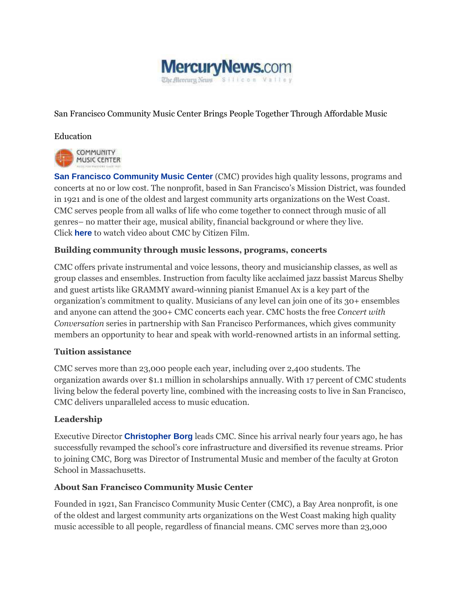

San Francisco Community Music Center Brings People Together Through Affordable Music

## Education



**[San Francisco Community Music Center](http://cts.businesswire.com/ct/CT?id=smartlink&url=http%3A%2F%2Fsfcmc.org%2F&esheet=51102647&newsitemid=20150514005161&lan=en-US&anchor=San+Francisco+Community+Music+Center&index=1&md5=23ca0d808c7674b00a06090a65b2aae4)** (CMC) provides high quality lessons, programs and concerts at no or low cost. The nonprofit, based in San Francisco's Mission District, was founded in 1921 and is one of the oldest and largest community arts organizations on the West Coast. CMC serves people from all walks of life who come together to connect through music of all genres– no matter their age, musical ability, financial background or where they live. Click **[here](http://cts.businesswire.com/ct/CT?id=smartlink&url=https%3A%2F%2Fwww.youtube.com%2Fwatch%3Fv%3D_wmjx4L2kVo&esheet=51102647&newsitemid=20150514005161&lan=en-US&anchor=here&index=2&md5=7b1585300304152676d8148842933db3)** to watch video about CMC by Citizen Film.

# **Building community through music lessons, programs, concerts**

CMC offers private instrumental and voice lessons, theory and musicianship classes, as well as group classes and ensembles. Instruction from faculty like acclaimed jazz bassist Marcus Shelby and guest artists like GRAMMY award-winning pianist Emanuel Ax is a key part of the organization's commitment to quality. Musicians of any level can join one of its 30+ ensembles and anyone can attend the 300+ CMC concerts each year. CMC hosts the free *Concert with Conversation* series in partnership with San Francisco Performances, which gives community members an opportunity to hear and speak with world-renowned artists in an informal setting.

### **Tuition assistance**

CMC serves more than 23,000 people each year, including over 2,400 students. The organization awards over \$1.1 million in scholarships annually. With 17 percent of CMC students living below the federal poverty line, combined with the increasing costs to live in San Francisco, CMC delivers unparalleled access to music education.

### **Leadership**

Executive Director **[Christopher Borg](http://cts.businesswire.com/ct/CT?id=smartlink&url=http%3A%2F%2Fsfcmc.org%2Fabout%2Fboard-and-staff%2F%23staff&esheet=51102647&newsitemid=20150514005161&lan=en-US&anchor=Christopher+Borg&index=3&md5=af94c2985da7b26cf976f12fe8a43bf0)** leads CMC. Since his arrival nearly four years ago, he has successfully revamped the school's core infrastructure and diversified its revenue streams. Prior to joining CMC, Borg was Director of Instrumental Music and member of the faculty at Groton School in Massachusetts.

### **About San Francisco Community Music Center**

Founded in 1921, San Francisco Community Music Center (CMC), a Bay Area nonprofit, is one of the oldest and largest community arts organizations on the West Coast making high quality music accessible to all people, regardless of financial means. CMC serves more than 23,000